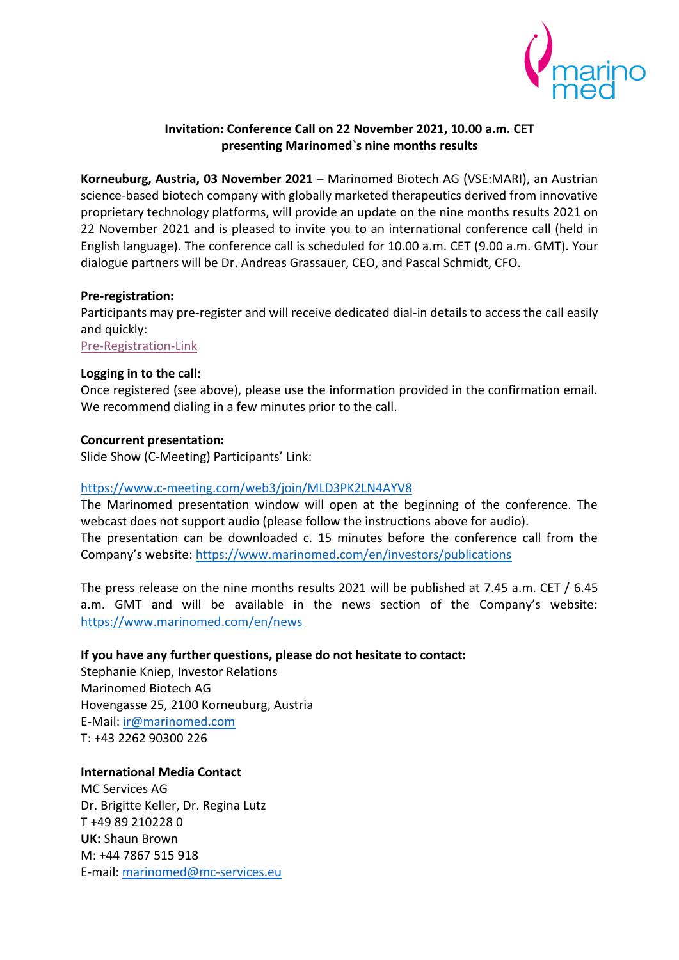

# **Invitation: Conference Call on 22 November 2021, 10.00 a.m. CET presenting Marinomed`s nine months results**

**Korneuburg, Austria, 03 November 2021** – Marinomed Biotech AG (VSE:MARI), an Austrian science-based biotech company with globally marketed therapeutics derived from innovative proprietary technology platforms, will provide an update on the nine months results 2021 on 22 November 2021 and is pleased to invite you to an international conference call (held in English language). The conference call is scheduled for 10.00 a.m. CET (9.00 a.m. GMT). Your dialogue partners will be Dr. Andreas Grassauer, CEO, and Pascal Schmidt, CFO.

## **Pre-registration:**

Participants may pre-register and will receive dedicated dial-in details to access the call easily and quickly:

[Pre-Registration-Link](https://services.choruscall.de/DiamondPassRegistration/register?confirmationNumber=2489957&linkSecurityString=45b78dd4c)

## **Logging in to the call:**

Once registered (see above), please use the information provided in the confirmation email. We recommend dialing in a few minutes prior to the call.

## **Concurrent presentation:**

Slide Show (C-Meeting) Participants' Link:

### <https://www.c-meeting.com/web3/join/MLD3PK2LN4AYV8>

The Marinomed presentation window will open at the beginning of the conference. The webcast does not support audio (please follow the instructions above for audio). The presentation can be downloaded c. 15 minutes before the conference call from the Company's website: <https://www.marinomed.com/en/investors/publications>

The press release on the nine months results 2021 will be published at 7.45 a.m. CET / 6.45 a.m. GMT and will be available in the news section of the Company's website: <https://www.marinomed.com/en/news>

# **If you have any further questions, please do not hesitate to contact:**

Stephanie Kniep, Investor Relations Marinomed Biotech AG Hovengasse 25, 2100 Korneuburg, Austria E-Mail: [ir@marinomed.com](mailto:ir@marinomed.com) T: +43 2262 90300 226

# **International Media Contact**

MC Services AG Dr. Brigitte Keller, Dr. Regina Lutz T +49 89 210228 0 **UK:** Shaun Brown M: +44 7867 515 918 E-mail: [marinomed@mc-services.eu](mailto:marinomed@mc-services.eu)